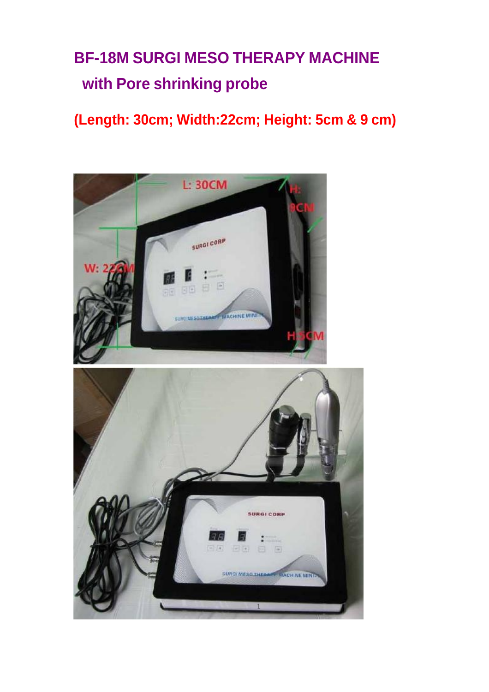# **BF-18M SURGI MESO THERAPY MACHINE with Pore shrinking probe**

**(Length: 30cm; Width:22cm; Height: 5cm & 9 cm)**



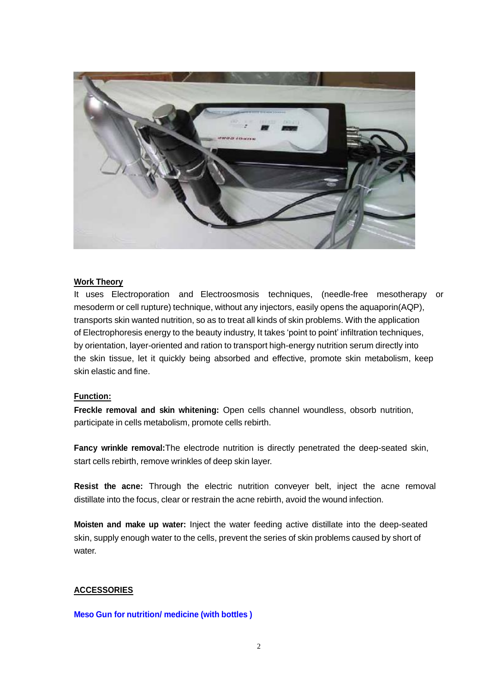

#### **Work Theory**

It uses Electroporation and Electroosmosis techniques, (needle-free mesotherapy or mesoderm or cell rupture) technique, without any injectors, easily opens the aquaporin(AQP), transports skin wanted nutrition, so as to treat all kinds of skin problems. With the application of Electrophoresis energy to the beauty industry, It takes 'point to point' infiltration techniques, by orientation, layer-oriented and ration to transport high-energy nutrition serum directly into the skin tissue, let it quickly being absorbed and effective, promote skin metabolism, keep skin elastic and fine.

#### **Function:**

**Freckle removal and skin whitening:** Open cells channel woundless, obsorb nutrition, participate in cells metabolism, promote cells rebirth.

**Fancy wrinkle removal:**The electrode nutrition is directly penetrated the deep-seated skin, start cells rebirth, remove wrinkles of deep skin layer.

**Resist the acne:** Through the electric nutrition conveyer belt, inject the acne removal distillate into the focus, clear or restrain the acne rebirth, avoid the wound infection.

**Moisten and make up water:** Inject the water feeding active distillate into the deep-seated skin, supply enough water to the cells, prevent the series of skin problems caused by short of water.

### **ACCESSORIES**

**Meso Gun for nutrition/ medicine (with bottles )**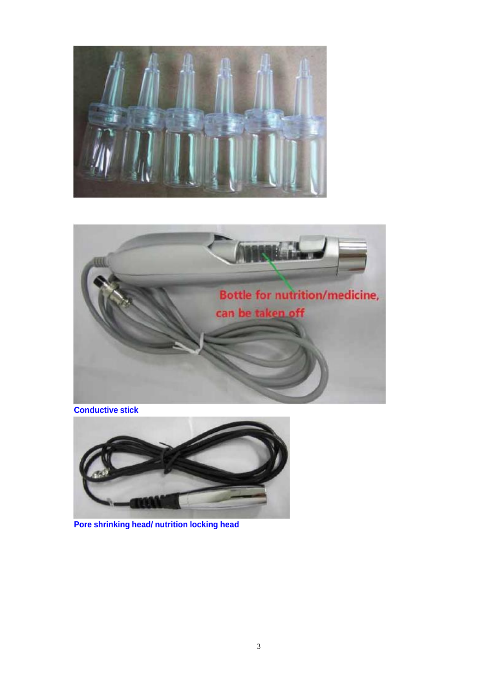



**Conductive stick**



**Pore shrinking head/ nutrition locking head**